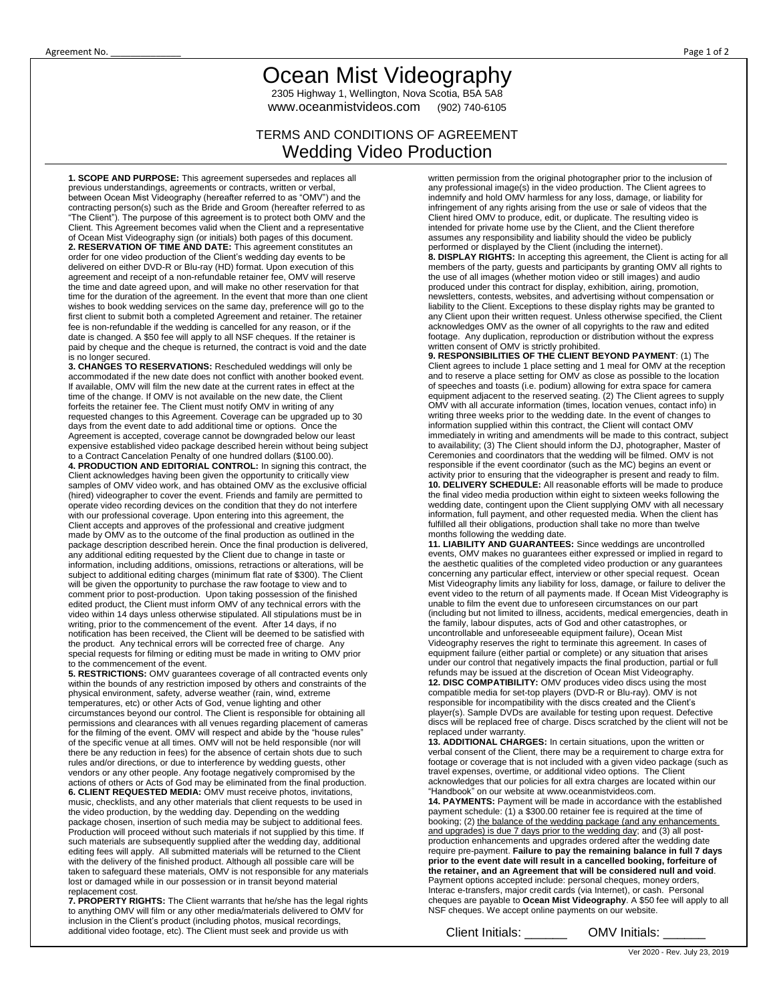## Ocean Mist Videography

2305 Highway 1, Wellington, Nova Scotia, B5A 5A8 www.oceanmistvideos.com (902) 740-6105

## TERMS AND CONDITIONS OF AGREEMENT Wedding Video Production

**1. SCOPE AND PURPOSE:** This agreement supersedes and replaces all previous understandings, agreements or contracts, written or verbal, between Ocean Mist Videography (hereafter referred to as "OMV") and the contracting person(s) such as the Bride and Groom (hereafter referred to as "The Client"). The purpose of this agreement is to protect both OMV and the Client. This Agreement becomes valid when the Client and a representative of Ocean Mist Videography sign (or initials) both pages of this document. **2. RESERVATION OF TIME AND DATE:** This agreement constitutes an order for one video production of the Client's wedding day events to be delivered on either DVD-R or Blu-ray (HD) format. Upon execution of this agreement and receipt of a non-refundable retainer fee, OMV will reserve the time and date agreed upon, and will make no other reservation for that time for the duration of the agreement. In the event that more than one client wishes to book wedding services on the same day, preference will go to the first client to submit both a completed Agreement and retainer. The retainer fee is non-refundable if the wedding is cancelled for any reason, or if the date is changed. A \$50 fee will apply to all NSF cheques. If the retainer is paid by cheque and the cheque is returned, the contract is void and the date is no longer secured.

**3. CHANGES TO RESERVATIONS:** Rescheduled weddings will only be accommodated if the new date does not conflict with another booked event. If available, OMV will film the new date at the current rates in effect at the time of the change. If OMV is not available on the new date, the Client forfeits the retainer fee. The Client must notify OMV in writing of any requested changes to this Agreement. Coverage can be upgraded up to 30 days from the event date to add additional time or options. Once the Agreement is accepted, coverage cannot be downgraded below our least expensive established video package described herein without being subject

to a Contract Cancelation Penalty of one hundred dollars (\$100.00). **4. PRODUCTION AND EDITORIAL CONTROL:** In signing this contract, the Client acknowledges having been given the opportunity to critically view samples of OMV video work, and has obtained OMV as the exclusive official (hired) videographer to cover the event. Friends and family are permitted to operate video recording devices on the condition that they do not interfere with our professional coverage. Upon entering into this agreement, the Client accepts and approves of the professional and creative judgment made by OMV as to the outcome of the final production as outlined in the package description described herein. Once the final production is delivered, any additional editing requested by the Client due to change in taste or information, including additions, omissions, retractions or alterations, will be subject to additional editing charges (minimum flat rate of \$300). The Client will be given the opportunity to purchase the raw footage to view and to comment prior to post-production. Upon taking possession of the finished edited product, the Client must inform OMV of any technical errors with the video within 14 days unless otherwise stipulated. All stipulations must be in writing, prior to the commencement of the event. After 14 days, if no notification has been received, the Client will be deemed to be satisfied with the product. Any technical errors will be corrected free of charge. Any special requests for filming or editing must be made in writing to OMV prior to the commencement of the event.

**5. RESTRICTIONS:** OMV guarantees coverage of all contracted events only within the bounds of any restriction imposed by others and constraints of the physical environment, safety, adverse weather (rain, wind, extreme temperatures, etc) or other Acts of God, venue lighting and other circumstances beyond our control. The Client is responsible for obtaining all permissions and clearances with all venues regarding placement of cameras for the filming of the event. OMV will respect and abide by the "house rules" of the specific venue at all times. OMV will not be held responsible (nor will there be any reduction in fees) for the absence of certain shots due to such rules and/or directions, or due to interference by wedding guests, other vendors or any other people. Any footage negatively compromised by the actions of others or Acts of God may be eliminated from the final production. **6. CLIENT REQUESTED MEDIA:** OMV must receive photos, invitations, music, checklists, and any other materials that client requests to be used in the video production, by the wedding day. Depending on the wedding package chosen, insertion of such media may be subject to additional fees. Production will proceed without such materials if not supplied by this time. If such materials are subsequently supplied after the wedding day, additional editing fees will apply. All submitted materials will be returned to the Client with the delivery of the finished product. Although all possible care will be taken to safeguard these materials, OMV is not responsible for any materials lost or damaged while in our possession or in transit beyond material replacement cost.

**7. PROPERTY RIGHTS:** The Client warrants that he/she has the legal rights to anything OMV will film or any other media/materials delivered to OMV for inclusion in the Client's product (including photos, musical recordings, additional video footage, etc). The Client must seek and provide us with

written permission from the original photographer prior to the inclusion of any professional image(s) in the video production. The Client agrees to indemnify and hold OMV harmless for any loss, damage, or liability for infringement of any rights arising from the use or sale of videos that the Client hired OMV to produce, edit, or duplicate. The resulting video is intended for private home use by the Client, and the Client therefore assumes any responsibility and liability should the video be publicly performed or displayed by the Client (including the internet).

**8. DISPLAY RIGHTS:** In accepting this agreement, the Client is acting for all members of the party, guests and participants by granting OMV all rights to the use of all images (whether motion video or still images) and audio produced under this contract for display, exhibition, airing, promotion, newsletters, contests, websites, and advertising without compensation or liability to the Client. Exceptions to these display rights may be granted to any Client upon their written request. Unless otherwise specified, the Client acknowledges OMV as the owner of all copyrights to the raw and edited footage. Any duplication, reproduction or distribution without the express written consent of OMV is strictly prohibited.

**9. RESPONSIBILITIES OF THE CLIENT BEYOND PAYMENT**: (1) The Client agrees to include 1 place setting and 1 meal for OMV at the reception and to reserve a place setting for OMV as close as possible to the location of speeches and toasts (i.e. podium) allowing for extra space for camera equipment adjacent to the reserved seating. (2) The Client agrees to supply OMV with all accurate information (times, location venues, contact info) in While all doculate information (integrated the event of changes to writing three weeks prior to the wedding date. In the event of changes to information supplied within this contract, the Client will contact OMV immediately in writing and amendments will be made to this contract, subject to availability; (3) The Client should inform the DJ, photographer, Master of Ceremonies and coordinators that the wedding will be filmed. OMV is not responsible if the event coordinator (such as the MC) begins an event or activity prior to ensuring that the videographer is present and ready to film. **10. DELIVERY SCHEDULE:** All reasonable efforts will be made to produce the final video media production within eight to sixteen weeks following the wedding date, contingent upon the Client supplying OMV with all necessary information, full payment, and other requested media. When the client has fulfilled all their obligations, production shall take no more than twelve months following the wedding date.

**11. LIABILITY AND GUARANTEES:** Since weddings are uncontrolled events, OMV makes no guarantees either expressed or implied in regard to the aesthetic qualities of the completed video production or any guarantees concerning any particular effect, interview or other special request. Ocean Mist Videography limits any liability for loss, damage, or failure to deliver the event video to the return of all payments made. If Ocean Mist Videography is unable to film the event due to unforeseen circumstances on our part (including but not limited to illness, accidents, medical emergencies, death in the family, labour disputes, acts of God and other catastrophes, or uncontrollable and unforeseeable equipment failure), Ocean Mist Videography reserves the right to terminate this agreement. In cases of equipment failure (either partial or complete) or any situation that arises under our control that negatively impacts the final production, partial or full refunds may be issued at the discretion of Ocean Mist Videography. **12. DISC COMPATIBILITY:** OMV produces video discs using the most compatible media for set-top players (DVD-R or Blu-ray). OMV is not responsible for incompatibility with the discs created and the Client's player(s). Sample DVDs are available for testing upon request. Defective discs will be replaced free of charge. Discs scratched by the client will not be replaced under warranty.

**13. ADDITIONAL CHARGES:** In certain situations, upon the written or verbal consent of the Client, there may be a requirement to charge extra for footage or coverage that is not included with a given video package (such as travel expenses, overtime, or additional video options. The Client acknowledges that our policies for all extra charges are located within our "Handbook" on our website at www.oceanmistvideos.com. **14. PAYMENTS:** Payment will be made in accordance with the established payment schedule: (1) a \$300.00 retainer fee is required at the time of booking; (2) the balance of the wedding package (and any enhancements and upgrades) is due 7 days prior to the wedding day; and (3) all postproduction enhancements and upgrades ordered after the wedding date require pre-payment. **Failure to pay the remaining balance in full 7 days prior to the event date will result in a cancelled booking, forfeiture of the retainer, and an Agreement that will be considered null and void**. Payment options accepted include: personal cheques, money orders, Interac e-transfers, major credit cards (via Internet), or cash. Personal cheques are payable to **Ocean Mist Videography**. A \$50 fee will apply to all NSF cheques. We accept online payments on our website.

Client Initials: \_\_\_\_\_\_\_\_\_ OMV Initials: \_